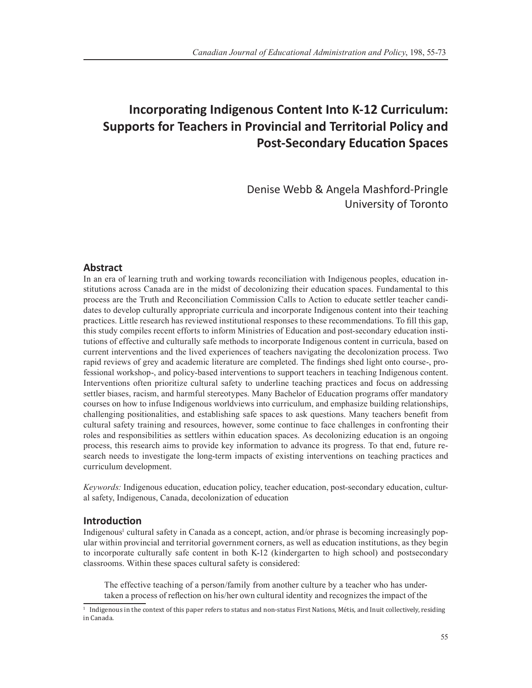# **Incorporating Indigenous Content Into K-12 Curriculum: Supports for Teachers in Provincial and Territorial Policy and Post-Secondary Education Spaces**

Denise Webb & Angela Mashford-Pringle University of Toronto

# **Abstract**

In an era of learning truth and working towards reconciliation with Indigenous peoples, education institutions across Canada are in the midst of decolonizing their education spaces. Fundamental to this process are the Truth and Reconciliation Commission Calls to Action to educate settler teacher candidates to develop culturally appropriate curricula and incorporate Indigenous content into their teaching practices. Little research has reviewed institutional responses to these recommendations. To fill this gap, this study compiles recent efforts to inform Ministries of Education and post-secondary education institutions of effective and culturally safe methods to incorporate Indigenous content in curricula, based on current interventions and the lived experiences of teachers navigating the decolonization process. Two rapid reviews of grey and academic literature are completed. The findings shed light onto course-, professional workshop-, and policy-based interventions to support teachers in teaching Indigenous content. Interventions often prioritize cultural safety to underline teaching practices and focus on addressing settler biases, racism, and harmful stereotypes. Many Bachelor of Education programs offer mandatory courses on how to infuse Indigenous worldviews into curriculum, and emphasize building relationships, challenging positionalities, and establishing safe spaces to ask questions. Many teachers benefit from cultural safety training and resources, however, some continue to face challenges in confronting their roles and responsibilities as settlers within education spaces. As decolonizing education is an ongoing process, this research aims to provide key information to advance its progress. To that end, future research needs to investigate the long-term impacts of existing interventions on teaching practices and curriculum development.

*Keywords:* Indigenous education, education policy, teacher education, post-secondary education, cultural safety, Indigenous, Canada, decolonization of education

# **Introduction**

Indigenous<sup>1</sup> cultural safety in Canada as a concept, action, and/or phrase is becoming increasingly popular within provincial and territorial government corners, as well as education institutions, as they begin to incorporate culturally safe content in both K-12 (kindergarten to high school) and postsecondary classrooms. Within these spaces cultural safety is considered:

The effective teaching of a person/family from another culture by a teacher who has undertaken a process of reflection on his/her own cultural identity and recognizes the impact of the

<sup>&</sup>lt;sup>1</sup> Indigenous in the context of this paper refers to status and non-status First Nations, Métis, and Inuit collectively, residing in Canada.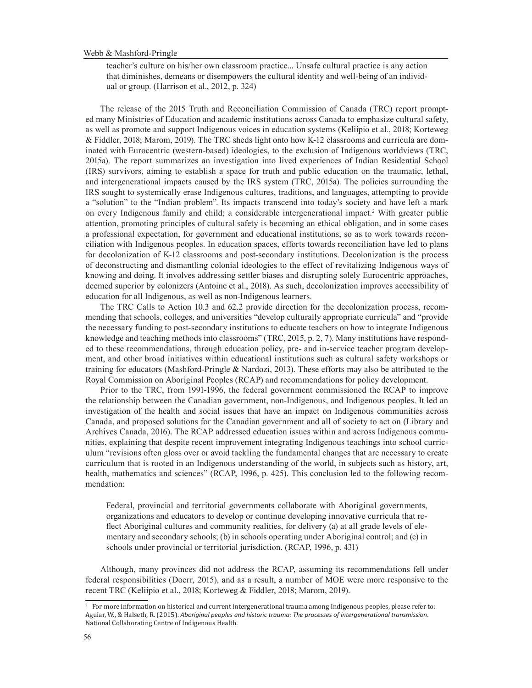teacher's culture on his/her own classroom practice... Unsafe cultural practice is any action that diminishes, demeans or disempowers the cultural identity and well-being of an individual or group. (Harrison et al., 2012, p. 324)

The release of the 2015 Truth and Reconciliation Commission of Canada (TRC) report prompted many Ministries of Education and academic institutions across Canada to emphasize cultural safety, as well as promote and support Indigenous voices in education systems (Keliipio et al., 2018; Korteweg & Fiddler, 2018; Marom, 2019). The TRC sheds light onto how K-12 classrooms and curricula are dominated with Eurocentric (western-based) ideologies, to the exclusion of Indigenous worldviews (TRC, 2015a). The report summarizes an investigation into lived experiences of Indian Residential School (IRS) survivors, aiming to establish a space for truth and public education on the traumatic, lethal, and intergenerational impacts caused by the IRS system (TRC, 2015a). The policies surrounding the IRS sought to systemically erase Indigenous cultures, traditions, and languages, attempting to provide a "solution" to the "Indian problem". Its impacts transcend into today's society and have left a mark on every Indigenous family and child; a considerable intergenerational impact.<sup>2</sup> With greater public attention, promoting principles of cultural safety is becoming an ethical obligation, and in some cases a professional expectation, for government and educational institutions, so as to work towards reconciliation with Indigenous peoples. In education spaces, efforts towards reconciliation have led to plans for decolonization of K-12 classrooms and post-secondary institutions. Decolonization is the process of deconstructing and dismantling colonial ideologies to the effect of revitalizing Indigenous ways of knowing and doing. It involves addressing settler biases and disrupting solely Eurocentric approaches, deemed superior by colonizers (Antoine et al., 2018). As such, decolonization improves accessibility of education for all Indigenous, as well as non-Indigenous learners.

The TRC Calls to Action 10.3 and 62.2 provide direction for the decolonization process, recommending that schools, colleges, and universities "develop culturally appropriate curricula" and "provide the necessary funding to post-secondary institutions to educate teachers on how to integrate Indigenous knowledge and teaching methods into classrooms" (TRC, 2015, p. 2, 7). Many institutions have responded to these recommendations, through education policy, pre- and in-service teacher program development, and other broad initiatives within educational institutions such as cultural safety workshops or training for educators (Mashford-Pringle & Nardozi, 2013). These efforts may also be attributed to the Royal Commission on Aboriginal Peoples (RCAP) and recommendations for policy development.

Prior to the TRC, from 1991-1996, the federal government commissioned the RCAP to improve the relationship between the Canadian government, non-Indigenous, and Indigenous peoples. It led an investigation of the health and social issues that have an impact on Indigenous communities across Canada, and proposed solutions for the Canadian government and all of society to act on (Library and Archives Canada, 2016). The RCAP addressed education issues within and across Indigenous communities, explaining that despite recent improvement integrating Indigenous teachings into school curriculum "revisions often gloss over or avoid tackling the fundamental changes that are necessary to create curriculum that is rooted in an Indigenous understanding of the world, in subjects such as history, art, health, mathematics and sciences" (RCAP, 1996, p. 425). This conclusion led to the following recommendation:

Federal, provincial and territorial governments collaborate with Aboriginal governments, organizations and educators to develop or continue developing innovative curricula that reflect Aboriginal cultures and community realities, for delivery (a) at all grade levels of elementary and secondary schools; (b) in schools operating under Aboriginal control; and (c) in schools under provincial or territorial jurisdiction. (RCAP, 1996, p. 431)

Although, many provinces did not address the RCAP, assuming its recommendations fell under federal responsibilities (Doerr, 2015), and as a result, a number of MOE were more responsive to the recent TRC (Keliipio et al., 2018; Korteweg & Fiddler, 2018; Marom, 2019).

<sup>2</sup> For more information on historical and current intergenerational trauma among Indigenous peoples, please refer to: Aguiar, W., & Halseth, R. (2015). *Aboriginal peoples and historic trauma: The processes of intergenerational transmission*. National Collaborating Centre of Indigenous Health.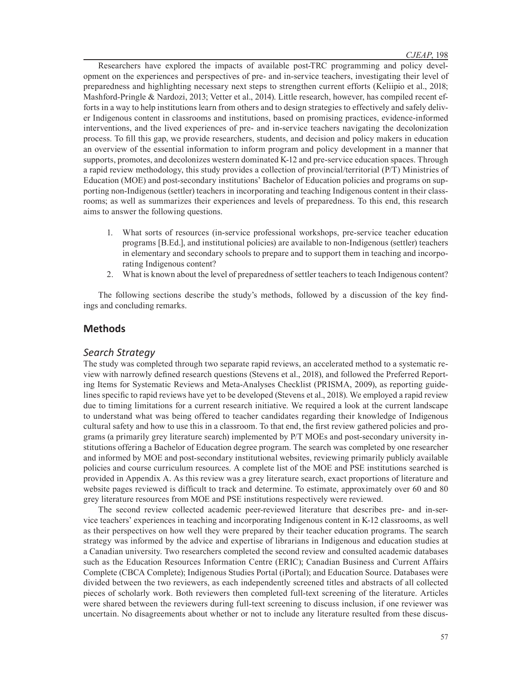Researchers have explored the impacts of available post-TRC programming and policy development on the experiences and perspectives of pre- and in-service teachers, investigating their level of preparedness and highlighting necessary next steps to strengthen current efforts (Keliipio et al., 2018; Mashford-Pringle & Nardozi, 2013; Vetter et al., 2014). Little research, however, has compiled recent efforts in a way to help institutions learn from others and to design strategies to effectively and safely deliver Indigenous content in classrooms and institutions, based on promising practices, evidence-informed interventions, and the lived experiences of pre- and in-service teachers navigating the decolonization process. To fill this gap, we provide researchers, students, and decision and policy makers in education an overview of the essential information to inform program and policy development in a manner that supports, promotes, and decolonizes western dominated K-12 and pre-service education spaces. Through a rapid review methodology, this study provides a collection of provincial/territorial (P/T) Ministries of Education (MOE) and post-secondary institutions' Bachelor of Education policies and programs on supporting non-Indigenous (settler) teachers in incorporating and teaching Indigenous content in their classrooms; as well as summarizes their experiences and levels of preparedness. To this end, this research aims to answer the following questions.

- 1. What sorts of resources (in-service professional workshops, pre-service teacher education programs [B.Ed.], and institutional policies) are available to non-Indigenous (settler) teachers in elementary and secondary schools to prepare and to support them in teaching and incorporating Indigenous content?
- 2. What is known about the level of preparedness of settler teachers to teach Indigenous content?

The following sections describe the study's methods, followed by a discussion of the key findings and concluding remarks.

# **Methods**

# *Search Strategy*

The study was completed through two separate rapid reviews, an accelerated method to a systematic review with narrowly defined research questions (Stevens et al., 2018), and followed the Preferred Reporting Items for Systematic Reviews and Meta-Analyses Checklist (PRISMA, 2009), as reporting guidelines specific to rapid reviews have yet to be developed (Stevens et al., 2018). We employed a rapid review due to timing limitations for a current research initiative. We required a look at the current landscape to understand what was being offered to teacher candidates regarding their knowledge of Indigenous cultural safety and how to use this in a classroom. To that end, the first review gathered policies and programs (a primarily grey literature search) implemented by P/T MOEs and post-secondary university institutions offering a Bachelor of Education degree program. The search was completed by one researcher and informed by MOE and post-secondary institutional websites, reviewing primarily publicly available policies and course curriculum resources. A complete list of the MOE and PSE institutions searched is provided in Appendix A. As this review was a grey literature search, exact proportions of literature and website pages reviewed is difficult to track and determine. To estimate, approximately over 60 and 80 grey literature resources from MOE and PSE institutions respectively were reviewed.

The second review collected academic peer-reviewed literature that describes pre- and in-service teachers' experiences in teaching and incorporating Indigenous content in K-12 classrooms, as well as their perspectives on how well they were prepared by their teacher education programs. The search strategy was informed by the advice and expertise of librarians in Indigenous and education studies at a Canadian university. Two researchers completed the second review and consulted academic databases such as the Education Resources Information Centre (ERIC); Canadian Business and Current Affairs Complete (CBCA Complete); Indigenous Studies Portal (iPortal); and Education Source. Databases were divided between the two reviewers, as each independently screened titles and abstracts of all collected pieces of scholarly work. Both reviewers then completed full-text screening of the literature. Articles were shared between the reviewers during full-text screening to discuss inclusion, if one reviewer was uncertain. No disagreements about whether or not to include any literature resulted from these discus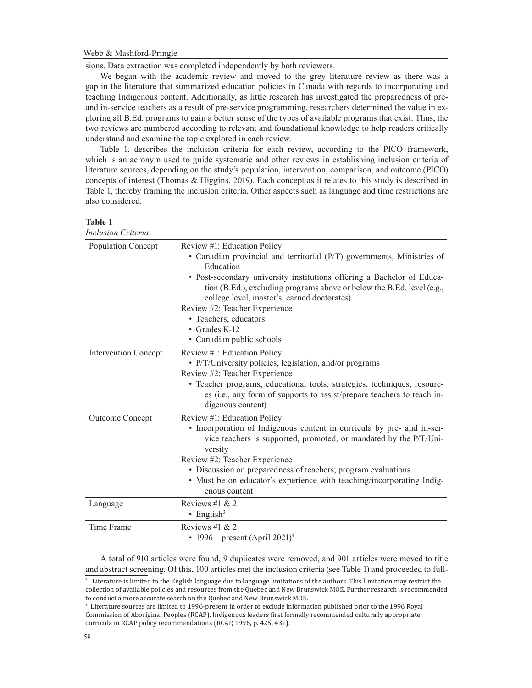sions. Data extraction was completed independently by both reviewers.

We began with the academic review and moved to the grey literature review as there was a gap in the literature that summarized education policies in Canada with regards to incorporating and teaching Indigenous content. Additionally, as little research has investigated the preparedness of preand in-service teachers as a result of pre-service programming, researchers determined the value in exploring all B.Ed. programs to gain a better sense of the types of available programs that exist. Thus, the two reviews are numbered according to relevant and foundational knowledge to help readers critically understand and examine the topic explored in each review.

Table 1. describes the inclusion criteria for each review, according to the PICO framework, which is an acronym used to guide systematic and other reviews in establishing inclusion criteria of literature sources, depending on the study's population, intervention, comparison, and outcome (PICO) concepts of interest (Thomas & Higgins, 2019). Each concept as it relates to this study is described in Table 1, thereby framing the inclusion criteria. Other aspects such as language and time restrictions are also considered.

| ın<br>ı |
|---------|
|---------|

| Inclusion Criteria          |                                                                                                                                                                                                                                                                                                                                                                                                                                       |
|-----------------------------|---------------------------------------------------------------------------------------------------------------------------------------------------------------------------------------------------------------------------------------------------------------------------------------------------------------------------------------------------------------------------------------------------------------------------------------|
| Population Concept          | Review #1: Education Policy<br>• Canadian provincial and territorial (P/T) governments, Ministries of<br>Education<br>• Post-secondary university institutions offering a Bachelor of Educa-<br>tion (B.Ed.), excluding programs above or below the B.Ed. level (e.g.,<br>college level, master's, earned doctorates)<br>Review #2: Teacher Experience<br>• Teachers, educators<br>$\bullet$ Grades K-12<br>• Canadian public schools |
| <b>Intervention Concept</b> | Review #1: Education Policy<br>• P/T/University policies, legislation, and/or programs<br>Review #2: Teacher Experience<br>· Teacher programs, educational tools, strategies, techniques, resourc-<br>es (i.e., any form of supports to assist/prepare teachers to teach in-<br>digenous content)                                                                                                                                     |
| Outcome Concept             | Review #1: Education Policy<br>• Incorporation of Indigenous content in curricula by pre- and in-ser-<br>vice teachers is supported, promoted, or mandated by the P/T/Uni-<br>versity<br>Review #2: Teacher Experience<br>• Discussion on preparedness of teachers; program evaluations<br>• Must be on educator's experience with teaching/incorporating Indig-<br>enous content                                                     |
| Language                    | Reviews #1 & 2<br>$\cdot$ English <sup>3</sup>                                                                                                                                                                                                                                                                                                                                                                                        |
| Time Frame                  | Reviews #1 & 2<br>• 1996 – present (April 2021) <sup>4</sup>                                                                                                                                                                                                                                                                                                                                                                          |

A total of 910 articles were found, 9 duplicates were removed, and 901 articles were moved to title and abstract screening. Of this, 100 articles met the inclusion criteria (see Table 1) and proceeded to full-

3 Literature is limited to the English language due to language limitations of the authors. This limitation may restrict the collection of available policies and resources from the Quebec and New Brunswick MOE. Further research is recommended to conduct a more accurate search on the Quebec and New Brunswick MOE.

<sup>4</sup> Literature sources are limited to 1996-present in order to exclude information published prior to the 1996 Royal Commission of Aboriginal Peoples (RCAP). Indigenous leaders first formally recommended culturally appropriate curricula in RCAP policy recommendations (RCAP, 1996, p. 425, 431).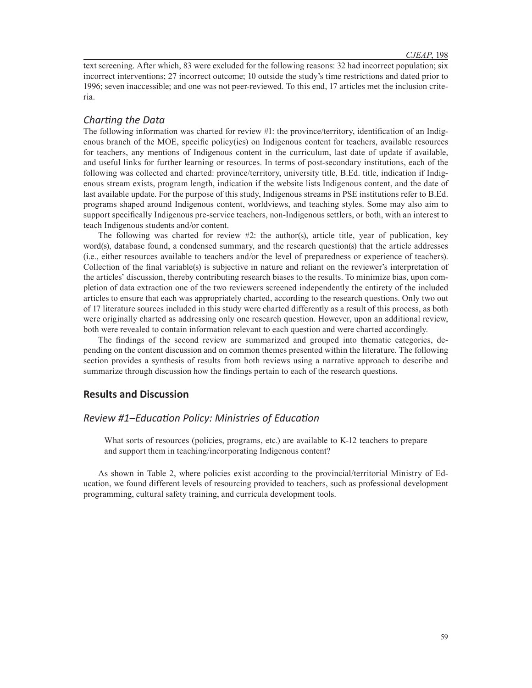text screening. After which, 83 were excluded for the following reasons: 32 had incorrect population; six incorrect interventions; 27 incorrect outcome; 10 outside the study's time restrictions and dated prior to 1996; seven inaccessible; and one was not peer-reviewed. To this end, 17 articles met the inclusion criteria.

# *Charting the Data*

The following information was charted for review #1: the province/territory, identification of an Indigenous branch of the MOE, specific policy(ies) on Indigenous content for teachers, available resources for teachers, any mentions of Indigenous content in the curriculum, last date of update if available, and useful links for further learning or resources. In terms of post-secondary institutions, each of the following was collected and charted: province/territory, university title, B.Ed. title, indication if Indigenous stream exists, program length, indication if the website lists Indigenous content, and the date of last available update. For the purpose of this study, Indigenous streams in PSE institutions refer to B.Ed. programs shaped around Indigenous content, worldviews, and teaching styles. Some may also aim to support specifically Indigenous pre-service teachers, non-Indigenous settlers, or both, with an interest to teach Indigenous students and/or content.

The following was charted for review  $#2$ : the author(s), article title, year of publication, key word(s), database found, a condensed summary, and the research question(s) that the article addresses (i.e., either resources available to teachers and/or the level of preparedness or experience of teachers). Collection of the final variable(s) is subjective in nature and reliant on the reviewer's interpretation of the articles' discussion, thereby contributing research biases to the results. To minimize bias, upon completion of data extraction one of the two reviewers screened independently the entirety of the included articles to ensure that each was appropriately charted, according to the research questions. Only two out of 17 literature sources included in this study were charted differently as a result of this process, as both were originally charted as addressing only one research question. However, upon an additional review, both were revealed to contain information relevant to each question and were charted accordingly.

The findings of the second review are summarized and grouped into thematic categories, depending on the content discussion and on common themes presented within the literature. The following section provides a synthesis of results from both reviews using a narrative approach to describe and summarize through discussion how the findings pertain to each of the research questions.

# **Results and Discussion**

# *Review #1–Education Policy: Ministries of Education*

What sorts of resources (policies, programs, etc.) are available to K-12 teachers to prepare and support them in teaching/incorporating Indigenous content?

As shown in Table 2, where policies exist according to the provincial/territorial Ministry of Education, we found different levels of resourcing provided to teachers, such as professional development programming, cultural safety training, and curricula development tools.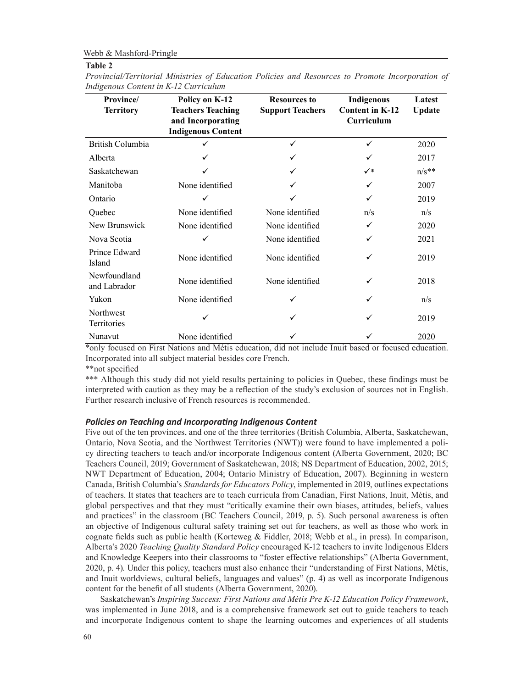#### **Table 2**

*Provincial/Territorial Ministries of Education Policies and Resources to Promote Incorporation of Indigenous Content in K-12 Curriculum* 

| <b>Province</b><br><b>Territory</b> | Policy on K-12<br><b>Teachers Teaching</b><br>and Incorporating<br><b>Indigenous Content</b> | <b>Resources to</b><br><b>Support Teachers</b> | Indigenous<br><b>Content in K-12</b><br>Curriculum | Latest<br>Update |
|-------------------------------------|----------------------------------------------------------------------------------------------|------------------------------------------------|----------------------------------------------------|------------------|
| British Columbia                    | ✓                                                                                            | ✓                                              | ✓                                                  | 2020             |
| Alberta                             | ✓                                                                                            |                                                |                                                    | 2017             |
| Saskatchewan                        | ✓                                                                                            |                                                | $\checkmark^*$                                     | $n/s**$          |
| Manitoba                            | None identified                                                                              |                                                | ✓                                                  | 2007             |
| Ontario                             | ✓                                                                                            |                                                | ✓                                                  | 2019             |
| Quebec                              | None identified                                                                              | None identified                                | n/s                                                | n/s              |
| New Brunswick                       | None identified                                                                              | None identified                                | ✓                                                  | 2020             |
| Nova Scotia                         | ✓                                                                                            | None identified                                | ✓                                                  | 2021             |
| Prince Edward<br>Island             | None identified                                                                              | None identified                                | ✓                                                  | 2019             |
| Newfoundland<br>and Labrador        | None identified                                                                              | None identified                                | ✓                                                  | 2018             |
| Yukon                               | None identified                                                                              | ✓                                              | ✓                                                  | n/s              |
| Northwest<br>Territories            |                                                                                              |                                                | ✓                                                  | 2019             |
| Nunavut                             | None identified                                                                              |                                                |                                                    | 2020             |

\*only focused on First Nations and Métis education, did not include Inuit based or focused education. Incorporated into all subject material besides core French.

\*\*not specified

\*\*\* Although this study did not yield results pertaining to policies in Quebec, these findings must be interpreted with caution as they may be a reflection of the study's exclusion of sources not in English. Further research inclusive of French resources is recommended.

## *Policies on Teaching and Incorporating Indigenous Content*

Five out of the ten provinces, and one of the three territories (British Columbia, Alberta, Saskatchewan, Ontario, Nova Scotia, and the Northwest Territories (NWT)) were found to have implemented a policy directing teachers to teach and/or incorporate Indigenous content (Alberta Government, 2020; BC Teachers Council, 2019; Government of Saskatchewan, 2018; NS Department of Education, 2002, 2015; NWT Department of Education, 2004; Ontario Ministry of Education, 2007). Beginning in western Canada, British Columbia's *Standards for Educators Policy*, implemented in 2019, outlines expectations of teachers. It states that teachers are to teach curricula from Canadian, First Nations, Inuit, Métis, and global perspectives and that they must "critically examine their own biases, attitudes, beliefs, values and practices" in the classroom (BC Teachers Council, 2019, p. 5). Such personal awareness is often an objective of Indigenous cultural safety training set out for teachers, as well as those who work in cognate fields such as public health (Korteweg & Fiddler, 2018; Webb et al., in press). In comparison, Alberta's 2020 *Teaching Quality Standard Policy* encouraged K-12 teachers to invite Indigenous Elders and Knowledge Keepers into their classrooms to "foster effective relationships" (Alberta Government, 2020, p. 4). Under this policy, teachers must also enhance their "understanding of First Nations, Métis, and Inuit worldviews, cultural beliefs, languages and values" (p. 4) as well as incorporate Indigenous content for the benefit of all students (Alberta Government, 2020).

Saskatchewan's *Inspiring Success: First Nations and Métis Pre K-12 Education Policy Framework*, was implemented in June 2018, and is a comprehensive framework set out to guide teachers to teach and incorporate Indigenous content to shape the learning outcomes and experiences of all students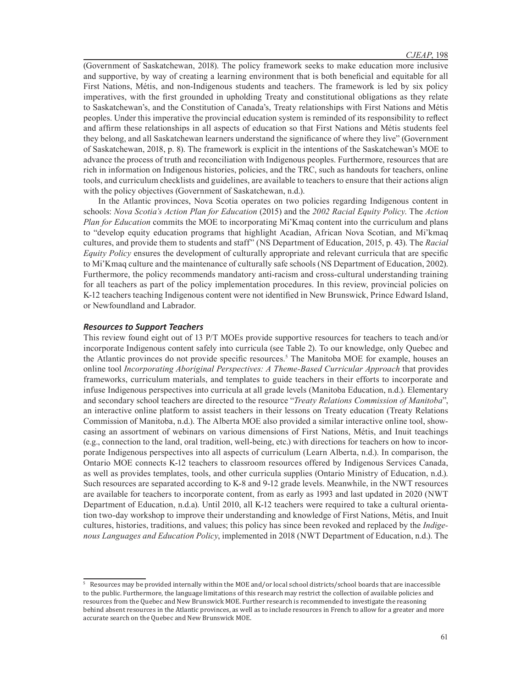(Government of Saskatchewan, 2018). The policy framework seeks to make education more inclusive and supportive, by way of creating a learning environment that is both beneficial and equitable for all First Nations, Métis, and non-Indigenous students and teachers. The framework is led by six policy imperatives, with the first grounded in upholding Treaty and constitutional obligations as they relate to Saskatchewan's, and the Constitution of Canada's, Treaty relationships with First Nations and Métis peoples. Under this imperative the provincial education system is reminded of its responsibility to reflect and affirm these relationships in all aspects of education so that First Nations and Métis students feel they belong, and all Saskatchewan learners understand the significance of where they live" (Government of Saskatchewan, 2018, p. 8). The framework is explicit in the intentions of the Saskatchewan's MOE to advance the process of truth and reconciliation with Indigenous peoples. Furthermore, resources that are rich in information on Indigenous histories, policies, and the TRC, such as handouts for teachers, online tools, and curriculum checklists and guidelines, are available to teachers to ensure that their actions align with the policy objectives (Government of Saskatchewan, n.d.).

In the Atlantic provinces, Nova Scotia operates on two policies regarding Indigenous content in schools: *Nova Scotia's Action Plan for Education* (2015) and the *2002 Racial Equity Policy*. The *Action Plan for Education* commits the MOE to incorporating Mi'Kmaq content into the curriculum and plans to "develop equity education programs that highlight Acadian, African Nova Scotian, and Mi'kmaq cultures, and provide them to students and staff" (NS Department of Education, 2015, p. 43). The *Racial Equity Policy* ensures the development of culturally appropriate and relevant curricula that are specific to Mi'Kmaq culture and the maintenance of culturally safe schools (NS Department of Education, 2002). Furthermore, the policy recommends mandatory anti-racism and cross-cultural understanding training for all teachers as part of the policy implementation procedures. In this review, provincial policies on K-12 teachers teaching Indigenous content were not identified in New Brunswick, Prince Edward Island, or Newfoundland and Labrador.

#### *Resources to Support Teachers*

This review found eight out of 13 P/T MOEs provide supportive resources for teachers to teach and/or incorporate Indigenous content safely into curricula (see Table 2). To our knowledge, only Quebec and the Atlantic provinces do not provide specific resources.<sup>5</sup> The Manitoba MOE for example, houses an online tool *Incorporating Aboriginal Perspectives: A Theme-Based Curricular Approach* that provides frameworks, curriculum materials, and templates to guide teachers in their efforts to incorporate and infuse Indigenous perspectives into curricula at all grade levels (Manitoba Education, n.d.). Elementary and secondary school teachers are directed to the resource "*Treaty Relations Commission of Manitoba*", an interactive online platform to assist teachers in their lessons on Treaty education (Treaty Relations Commission of Manitoba, n.d.). The Alberta MOE also provided a similar interactive online tool, showcasing an assortment of webinars on various dimensions of First Nations, Métis, and Inuit teachings (e.g., connection to the land, oral tradition, well-being, etc.) with directions for teachers on how to incorporate Indigenous perspectives into all aspects of curriculum (Learn Alberta, n.d.). In comparison, the Ontario MOE connects K-12 teachers to classroom resources offered by Indigenous Services Canada, as well as provides templates, tools, and other curricula supplies (Ontario Ministry of Education, n.d.). Such resources are separated according to K-8 and 9-12 grade levels. Meanwhile, in the NWT resources are available for teachers to incorporate content, from as early as 1993 and last updated in 2020 (NWT Department of Education, n.d.a). Until 2010, all K-12 teachers were required to take a cultural orientation two-day workshop to improve their understanding and knowledge of First Nations, Métis, and Inuit cultures, histories, traditions, and values; this policy has since been revoked and replaced by the *Indigenous Languages and Education Policy*, implemented in 2018 (NWT Department of Education, n.d.). The

<sup>5</sup> Resources may be provided internally within the MOE and/or local school districts/school boards that are inaccessible to the public. Furthermore, the language limitations of this research may restrict the collection of available policies and resources from the Quebec and New Brunswick MOE. Further research is recommended to investigate the reasoning behind absent resources in the Atlantic provinces, as well as to include resources in French to allow for a greater and more accurate search on the Quebec and New Brunswick MOE.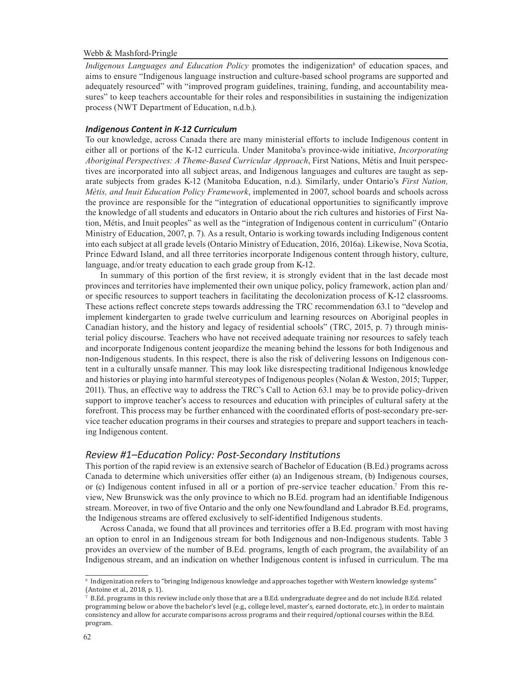*Indigenous Languages and Education Policy* promotes the indigenization<sup>6</sup> of education spaces, and aims to ensure "Indigenous language instruction and culture-based school programs are supported and adequately resourced" with "improved program guidelines, training, funding, and accountability measures" to keep teachers accountable for their roles and responsibilities in sustaining the indigenization process (NWT Department of Education, n.d.b.).

## *Indigenous Content in K-12 Curriculum*

To our knowledge, across Canada there are many ministerial efforts to include Indigenous content in either all or portions of the K-12 curricula. Under Manitoba's province-wide initiative, *Incorporating Aboriginal Perspectives: A Theme-Based Curricular Approach*, First Nations, Métis and Inuit perspectives are incorporated into all subject areas, and Indigenous languages and cultures are taught as separate subjects from grades K-12 (Manitoba Education, n.d.). Similarly, under Ontario's *First Nation, Métis, and Inuit Education Policy Framework*, implemented in 2007, school boards and schools across the province are responsible for the "integration of educational opportunities to significantly improve the knowledge of all students and educators in Ontario about the rich cultures and histories of First Nation, Métis, and Inuit peoples" as well as the "integration of Indigenous content in curriculum" (Ontario Ministry of Education, 2007, p. 7). As a result, Ontario is working towards including Indigenous content into each subject at all grade levels (Ontario Ministry of Education, 2016, 2016a). Likewise, Nova Scotia, Prince Edward Island, and all three territories incorporate Indigenous content through history, culture, language, and/or treaty education to each grade group from K-12.

In summary of this portion of the first review, it is strongly evident that in the last decade most provinces and territories have implemented their own unique policy, policy framework, action plan and/ or specific resources to support teachers in facilitating the decolonization process of K-12 classrooms. These actions reflect concrete steps towards addressing the TRC recommendation 63.1 to "develop and implement kindergarten to grade twelve curriculum and learning resources on Aboriginal peoples in Canadian history, and the history and legacy of residential schools" (TRC, 2015, p. 7) through ministerial policy discourse. Teachers who have not received adequate training nor resources to safely teach and incorporate Indigenous content jeopardize the meaning behind the lessons for both Indigenous and non-Indigenous students. In this respect, there is also the risk of delivering lessons on Indigenous content in a culturally unsafe manner. This may look like disrespecting traditional Indigenous knowledge and histories or playing into harmful stereotypes of Indigenous peoples (Nolan & Weston, 2015; Tupper, 2011). Thus, an effective way to address the TRC's Call to Action 63.1 may be to provide policy-driven support to improve teacher's access to resources and education with principles of cultural safety at the forefront. This process may be further enhanced with the coordinated efforts of post-secondary pre-service teacher education programs in their courses and strategies to prepare and support teachers in teaching Indigenous content.

# *Review #1–Education Policy: Post-Secondary Institutions*

This portion of the rapid review is an extensive search of Bachelor of Education (B.Ed.) programs across Canada to determine which universities offer either (a) an Indigenous stream, (b) Indigenous courses, or (c) Indigenous content infused in all or a portion of pre-service teacher education.<sup>7</sup> From this review, New Brunswick was the only province to which no B.Ed. program had an identifiable Indigenous stream. Moreover, in two of five Ontario and the only one Newfoundland and Labrador B.Ed. programs, the Indigenous streams are offered exclusively to self-identified Indigenous students.

Across Canada, we found that all provinces and territories offer a B.Ed. program with most having an option to enrol in an Indigenous stream for both Indigenous and non-Indigenous students. Table 3 provides an overview of the number of B.Ed. programs, length of each program, the availability of an Indigenous stream, and an indication on whether Indigenous content is infused in curriculum. The ma

<sup>6</sup> Indigenization refers to "bringing Indigenous knowledge and approaches together with Western knowledge systems" (Antoine et al., 2018, p. 1).

<sup>7</sup> B.Ed. programs in this review include only those that are a B.Ed. undergraduate degree and do not include B.Ed. related programming below or above the bachelor's level (e.g., college level, master's, earned doctorate, etc.), in order to maintain consistency and allow for accurate comparisons across programs and their required/optional courses within the B.Ed. program.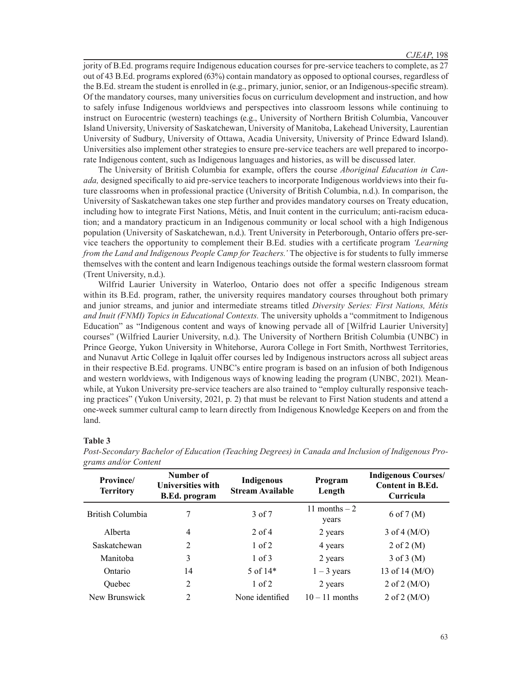jority of B.Ed. programs require Indigenous education courses for pre-service teachers to complete, as 27 out of 43 B.Ed. programs explored (63%) contain mandatory as opposed to optional courses, regardless of the B.Ed. stream the student is enrolled in (e.g., primary, junior, senior, or an Indigenous-specific stream). Of the mandatory courses, many universities focus on curriculum development and instruction, and how to safely infuse Indigenous worldviews and perspectives into classroom lessons while continuing to instruct on Eurocentric (western) teachings (e.g., University of Northern British Columbia, Vancouver Island University, University of Saskatchewan, University of Manitoba, Lakehead University, Laurentian University of Sudbury, University of Ottawa, Acadia University, University of Prince Edward Island). Universities also implement other strategies to ensure pre-service teachers are well prepared to incorporate Indigenous content, such as Indigenous languages and histories, as will be discussed later.

The University of British Columbia for example, offers the course *Aboriginal Education in Canada,* designed specifically to aid pre-service teachers to incorporate Indigenous worldviews into their future classrooms when in professional practice (University of British Columbia, n.d.). In comparison, the University of Saskatchewan takes one step further and provides mandatory courses on Treaty education, including how to integrate First Nations, Métis, and Inuit content in the curriculum; anti-racism education; and a mandatory practicum in an Indigenous community or local school with a high Indigenous population (University of Saskatchewan, n.d.). Trent University in Peterborough, Ontario offers pre-service teachers the opportunity to complement their B.Ed. studies with a certificate program *'Learning from the Land and Indigenous People Camp for Teachers.'* The objective is for students to fully immerse themselves with the content and learn Indigenous teachings outside the formal western classroom format (Trent University, n.d.).

Wilfrid Laurier University in Waterloo, Ontario does not offer a specific Indigenous stream within its B.Ed. program, rather, the university requires mandatory courses throughout both primary and junior streams, and junior and intermediate streams titled *Diversity Series: First Nations, Métis and Inuit (FNMI) Topics in Educational Contexts.* The university upholds a "commitment to Indigenous Education" as "Indigenous content and ways of knowing pervade all of [Wilfrid Laurier University] courses" (Wilfried Laurier University, n.d.). The University of Northern British Columbia (UNBC) in Prince George, Yukon University in Whitehorse, Aurora College in Fort Smith, Northwest Territories, and Nunavut Artic College in Iqaluit offer courses led by Indigenous instructors across all subject areas in their respective B.Ed. programs. UNBC's entire program is based on an infusion of both Indigenous and western worldviews, with Indigenous ways of knowing leading the program (UNBC, 2021). Meanwhile, at Yukon University pre-service teachers are also trained to "employ culturally responsive teaching practices" (Yukon University, 2021, p. 2) that must be relevant to First Nation students and attend a one-week summer cultural camp to learn directly from Indigenous Knowledge Keepers on and from the land.

## **Table 3**

| Province/<br><b>Territory</b> | Number of<br><b>Universities with</b><br><b>B.Ed.</b> program | <b>Indigenous</b><br><b>Stream Available</b> | Program<br>Length       | <b>Indigenous Courses/</b><br><b>Content in B.Ed.</b><br>Curricula |
|-------------------------------|---------------------------------------------------------------|----------------------------------------------|-------------------------|--------------------------------------------------------------------|
| British Columbia              |                                                               | 3 of 7                                       | 11 months $-2$<br>years | $6$ of $7 \,(M)$                                                   |
| Alberta                       | 4                                                             | $2$ of 4                                     | 2 years                 | 3 of 4 $(M/O)$                                                     |
| Saskatchewan                  | 2                                                             | $1$ of $2$                                   | 4 years                 | $2$ of $2(M)$                                                      |
| Manitoba                      | 3                                                             | $1$ of $3$                                   | 2 years                 | $3$ of $3$ (M)                                                     |
| Ontario                       | 14                                                            | 5 of $14*$                                   | $1 - 3$ years           | 13 of 14 (M/O)                                                     |
| <b>Ouebec</b>                 | 2                                                             | $1$ of $2$                                   | 2 years                 | $2$ of $2 \ (M/O)$                                                 |
| New Brunswick                 | 2                                                             | None identified                              | $10 - 11$ months        | 2 of $2 (M/O)$                                                     |

*Post-Secondary Bachelor of Education (Teaching Degrees) in Canada and Inclusion of Indigenous Programs and/or Content*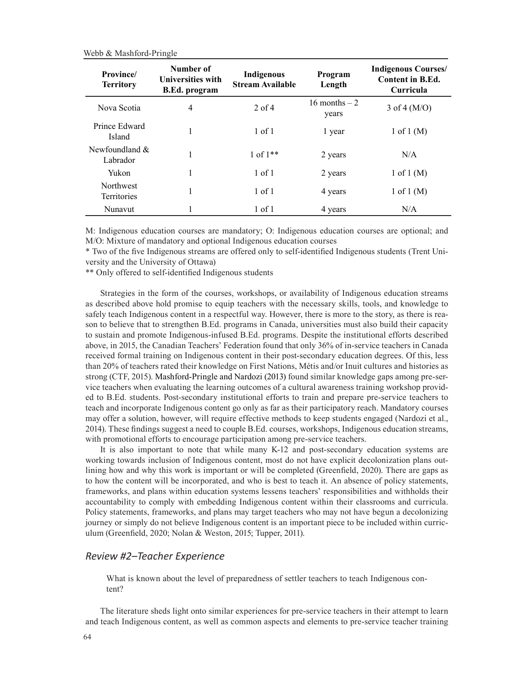| Province/<br><b>Territory</b>          | Number of<br><b>Universities with</b><br>B.Ed. program | <b>Indigenous</b><br><b>Stream Available</b> | Program<br>Length       | <b>Indigenous Courses/</b><br><b>Content in B.Ed.</b><br>Curricula |
|----------------------------------------|--------------------------------------------------------|----------------------------------------------|-------------------------|--------------------------------------------------------------------|
| Nova Scotia                            | $\overline{4}$                                         | $2$ of 4                                     | 16 months $-2$<br>years | $3$ of $4 \ (M/O)$                                                 |
| Prince Edward<br>Island                | 1                                                      | $1$ of $1$                                   | 1 year                  | $1$ of $1(M)$                                                      |
| Newfoundland $&$<br>Labrador           |                                                        | $1 of 1**$                                   | 2 years                 | N/A                                                                |
| Yukon                                  | 1                                                      | $1$ of $1$                                   | 2 years                 | $1 \text{ of } 1 \text{ (M)}$                                      |
| <b>Northwest</b><br><b>Territories</b> |                                                        | $1$ of $1$                                   | 4 years                 | $1$ of $1(M)$                                                      |
| Nunavut                                |                                                        | 1 of 1                                       | 4 years                 | N/A                                                                |

M: Indigenous education courses are mandatory; O: Indigenous education courses are optional; and M/O: Mixture of mandatory and optional Indigenous education courses

\* Two of the five Indigenous streams are offered only to self-identified Indigenous students (Trent University and the University of Ottawa)

\*\* Only offered to self-identified Indigenous students

Strategies in the form of the courses, workshops, or availability of Indigenous education streams as described above hold promise to equip teachers with the necessary skills, tools, and knowledge to safely teach Indigenous content in a respectful way. However, there is more to the story, as there is reason to believe that to strengthen B.Ed. programs in Canada, universities must also build their capacity to sustain and promote Indigenous-infused B.Ed. programs. Despite the institutional efforts described above, in 2015, the Canadian Teachers' Federation found that only 36% of in-service teachers in Canada received formal training on Indigenous content in their post-secondary education degrees. Of this, less than 20% of teachers rated their knowledge on First Nations, Métis and/or Inuit cultures and histories as strong (CTF, 2015). Mashford-Pringle and Nardozi (2013) found similar knowledge gaps among pre-service teachers when evaluating the learning outcomes of a cultural awareness training workshop provided to B.Ed. students. Post-secondary institutional efforts to train and prepare pre-service teachers to teach and incorporate Indigenous content go only as far as their participatory reach. Mandatory courses may offer a solution, however, will require effective methods to keep students engaged (Nardozi et al., 2014). These findings suggest a need to couple B.Ed. courses, workshops, Indigenous education streams, with promotional efforts to encourage participation among pre-service teachers.

It is also important to note that while many K-12 and post-secondary education systems are working towards inclusion of Indigenous content, most do not have explicit decolonization plans outlining how and why this work is important or will be completed (Greenfield, 2020). There are gaps as to how the content will be incorporated, and who is best to teach it. An absence of policy statements, frameworks, and plans within education systems lessens teachers' responsibilities and withholds their accountability to comply with embedding Indigenous content within their classrooms and curricula. Policy statements, frameworks, and plans may target teachers who may not have begun a decolonizing journey or simply do not believe Indigenous content is an important piece to be included within curriculum (Greenfield, 2020; Nolan & Weston, 2015; Tupper, 2011).

# *Review #2–Teacher Experience*

What is known about the level of preparedness of settler teachers to teach Indigenous content?

The literature sheds light onto similar experiences for pre-service teachers in their attempt to learn and teach Indigenous content, as well as common aspects and elements to pre-service teacher training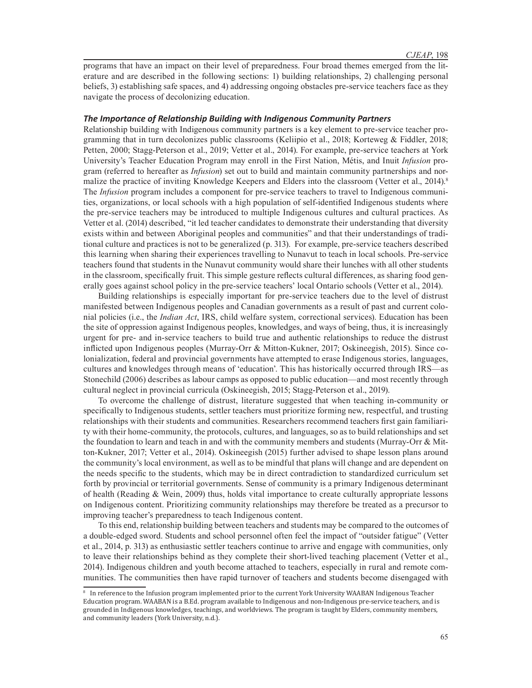programs that have an impact on their level of preparedness. Four broad themes emerged from the literature and are described in the following sections: 1) building relationships, 2) challenging personal beliefs, 3) establishing safe spaces, and 4) addressing ongoing obstacles pre-service teachers face as they navigate the process of decolonizing education.

#### *The Importance of Relationship Building with Indigenous Community Partners*

Relationship building with Indigenous community partners is a key element to pre-service teacher programming that in turn decolonizes public classrooms (Keliipio et al., 2018; Korteweg & Fiddler, 2018; Petten, 2000; Stagg-Peterson et al., 2019; Vetter et al., 2014). For example, pre-service teachers at York University's Teacher Education Program may enroll in the First Nation, Métis, and Inuit *Infusion* program (referred to hereafter as *Infusion*) set out to build and maintain community partnerships and normalize the practice of inviting Knowledge Keepers and Elders into the classroom (Vetter et al., 2014).<sup>8</sup> The *Infusion* program includes a component for pre-service teachers to travel to Indigenous communities, organizations, or local schools with a high population of self-identified Indigenous students where the pre-service teachers may be introduced to multiple Indigenous cultures and cultural practices. As Vetter et al. (2014) described, "it led teacher candidates to demonstrate their understanding that diversity exists within and between Aboriginal peoples and communities" and that their understandings of traditional culture and practices is not to be generalized (p. 313). For example, pre-service teachers described this learning when sharing their experiences travelling to Nunavut to teach in local schools. Pre-service teachers found that students in the Nunavut community would share their lunches with all other students in the classroom, specifically fruit. This simple gesture reflects cultural differences, as sharing food generally goes against school policy in the pre-service teachers' local Ontario schools (Vetter et al., 2014).

Building relationships is especially important for pre-service teachers due to the level of distrust manifested between Indigenous peoples and Canadian governments as a result of past and current colonial policies (i.e., the *Indian Act*, IRS, child welfare system, correctional services). Education has been the site of oppression against Indigenous peoples, knowledges, and ways of being, thus, it is increasingly urgent for pre- and in-service teachers to build true and authentic relationships to reduce the distrust inflicted upon Indigenous peoples (Murray-Orr & Mitton-Kukner, 2017; Oskineegish, 2015). Since colonialization, federal and provincial governments have attempted to erase Indigenous stories, languages, cultures and knowledges through means of 'education'. This has historically occurred through IRS—as Stonechild (2006) describes as labour camps as opposed to public education—and most recently through cultural neglect in provincial curricula (Oskineegish, 2015; Stagg-Peterson et al., 2019).

To overcome the challenge of distrust, literature suggested that when teaching in-community or specifically to Indigenous students, settler teachers must prioritize forming new, respectful, and trusting relationships with their students and communities. Researchers recommend teachers first gain familiarity with their home-community, the protocols, cultures, and languages, so as to build relationships and set the foundation to learn and teach in and with the community members and students (Murray-Orr & Mitton-Kukner, 2017; Vetter et al., 2014). Oskineegish (2015) further advised to shape lesson plans around the community's local environment, as well as to be mindful that plans will change and are dependent on the needs specific to the students, which may be in direct contradiction to standardized curriculum set forth by provincial or territorial governments. Sense of community is a primary Indigenous determinant of health (Reading & Wein, 2009) thus, holds vital importance to create culturally appropriate lessons on Indigenous content. Prioritizing community relationships may therefore be treated as a precursor to improving teacher's preparedness to teach Indigenous content.

To this end, relationship building between teachers and students may be compared to the outcomes of a double-edged sword. Students and school personnel often feel the impact of "outsider fatigue" (Vetter et al., 2014, p. 313) as enthusiastic settler teachers continue to arrive and engage with communities, only to leave their relationships behind as they complete their short-lived teaching placement (Vetter et al., 2014). Indigenous children and youth become attached to teachers, especially in rural and remote communities. The communities then have rapid turnover of teachers and students become disengaged with

<sup>8</sup> In reference to the Infusion program implemented prior to the current York University WAABAN Indigenous Teacher Education program. WAABAN is a B.Ed. program available to Indigenous and non-Indigenous pre-service teachers, and is grounded in Indigenous knowledges, teachings, and worldviews. The program is taught by Elders, community members, and community leaders (York University, n.d.).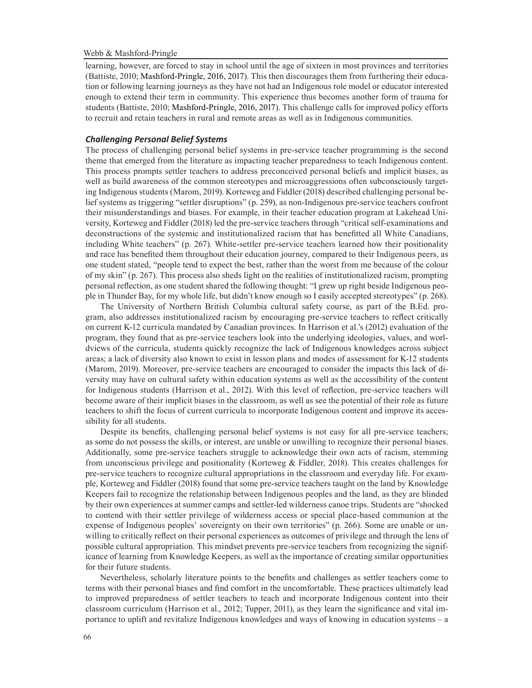learning, however, are forced to stay in school until the age of sixteen in most provinces and territories (Battiste, 2010; Mashford-Pringle, 2016, 2017). This then discourages them from furthering their education or following learning journeys as they have not had an Indigenous role model or educator interested enough to extend their term in community. This experience thus becomes another form of trauma for students (Battiste, 2010; Mashford-Pringle, 2016, 2017). This challenge calls for improved policy efforts to recruit and retain teachers in rural and remote areas as well as in Indigenous communities.

## *Challenging Personal Belief Systems*

The process of challenging personal belief systems in pre-service teacher programming is the second theme that emerged from the literature as impacting teacher preparedness to teach Indigenous content. This process prompts settler teachers to address preconceived personal beliefs and implicit biases, as well as build awareness of the common stereotypes and microaggressions often subconsciously targeting Indigenous students (Marom, 2019). Korteweg and Fiddler (2018) described challenging personal belief systems as triggering "settler disruptions" (p. 259), as non-Indigenous pre-service teachers confront their misunderstandings and biases. For example, in their teacher education program at Lakehead University, Korteweg and Fiddler (2018) led the pre-service teachers through "critical self-examinations and deconstructions of the systemic and institutionalized racism that has benefitted all White Canadians, including White teachers" (p. 267). White-settler pre-service teachers learned how their positionality and race has benefited them throughout their education journey, compared to their Indigenous peers, as one student stated, "people tend to expect the best, rather than the worst from me because of the colour of my skin" (p. 267). This process also sheds light on the realities of institutionalized racism, prompting personal reflection, as one student shared the following thought: "I grew up right beside Indigenous people in Thunder Bay, for my whole life, but didn't know enough so I easily accepted stereotypes" (p. 268).

The University of Northern British Columbia cultural safety course, as part of the B.Ed. program, also addresses institutionalized racism by encouraging pre-service teachers to reflect critically on current K-12 curricula mandated by Canadian provinces. In Harrison et al.'s (2012) evaluation of the program, they found that as pre-service teachers look into the underlying ideologies, values, and worldviews of the curricula, students quickly recognize the lack of Indigenous knowledges across subject areas; a lack of diversity also known to exist in lesson plans and modes of assessment for K-12 students (Marom, 2019). Moreover, pre-service teachers are encouraged to consider the impacts this lack of diversity may have on cultural safety within education systems as well as the accessibility of the content for Indigenous students (Harrison et al., 2012). With this level of reflection, pre-service teachers will become aware of their implicit biases in the classroom, as well as see the potential of their role as future teachers to shift the focus of current curricula to incorporate Indigenous content and improve its accessibility for all students.

Despite its benefits, challenging personal belief systems is not easy for all pre-service teachers; as some do not possess the skills, or interest, are unable or unwilling to recognize their personal biases. Additionally, some pre-service teachers struggle to acknowledge their own acts of racism, stemming from unconscious privilege and positionality (Korteweg & Fiddler, 2018). This creates challenges for pre-service teachers to recognize cultural appropriations in the classroom and everyday life. For example, Korteweg and Fiddler (2018) found that some pre-service teachers taught on the land by Knowledge Keepers fail to recognize the relationship between Indigenous peoples and the land, as they are blinded by their own experiences at summer camps and settler-led wilderness canoe trips. Students are "shocked to contend with their settler privilege of wilderness access or special place-based communion at the expense of Indigenous peoples' sovereignty on their own territories" (p. 266). Some are unable or unwilling to critically reflect on their personal experiences as outcomes of privilege and through the lens of possible cultural appropriation. This mindset prevents pre-service teachers from recognizing the significance of learning from Knowledge Keepers, as well as the importance of creating similar opportunities for their future students.

Nevertheless, scholarly literature points to the benefits and challenges as settler teachers come to terms with their personal biases and find comfort in the uncomfortable. These practices ultimately lead to improved preparedness of settler teachers to teach and incorporate Indigenous content into their classroom curriculum (Harrison et al., 2012; Tupper, 2011), as they learn the significance and vital importance to uplift and revitalize Indigenous knowledges and ways of knowing in education systems – a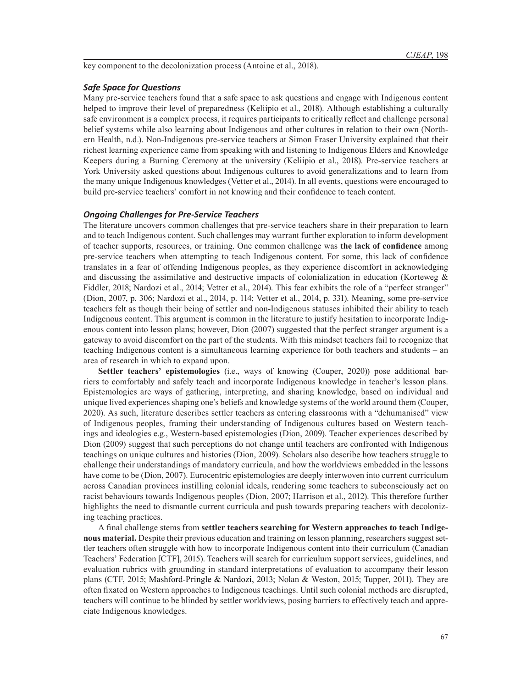key component to the decolonization process (Antoine et al., 2018).

## *Safe Space for Questions*

Many pre-service teachers found that a safe space to ask questions and engage with Indigenous content helped to improve their level of preparedness (Keliipio et al., 2018). Although establishing a culturally safe environment is a complex process, it requires participants to critically reflect and challenge personal belief systems while also learning about Indigenous and other cultures in relation to their own (Northern Health, n.d.). Non-Indigenous pre-service teachers at Simon Fraser University explained that their richest learning experience came from speaking with and listening to Indigenous Elders and Knowledge Keepers during a Burning Ceremony at the university (Keliipio et al., 2018). Pre-service teachers at York University asked questions about Indigenous cultures to avoid generalizations and to learn from the many unique Indigenous knowledges (Vetter et al., 2014). In all events, questions were encouraged to build pre-service teachers' comfort in not knowing and their confidence to teach content.

#### *Ongoing Challenges for Pre-Service Teachers*

The literature uncovers common challenges that pre-service teachers share in their preparation to learn and to teach Indigenous content. Such challenges may warrant further exploration to inform development of teacher supports, resources, or training. One common challenge was **the lack of confidence** among pre-service teachers when attempting to teach Indigenous content. For some, this lack of confidence translates in a fear of offending Indigenous peoples, as they experience discomfort in acknowledging and discussing the assimilative and destructive impacts of colonialization in education (Korteweg  $\&$ Fiddler, 2018; Nardozi et al., 2014; Vetter et al., 2014). This fear exhibits the role of a "perfect stranger" (Dion, 2007, p. 306; Nardozi et al., 2014, p. 114; Vetter et al., 2014, p. 331). Meaning, some pre-service teachers felt as though their being of settler and non-Indigenous statuses inhibited their ability to teach Indigenous content. This argument is common in the literature to justify hesitation to incorporate Indigenous content into lesson plans; however, Dion (2007) suggested that the perfect stranger argument is a gateway to avoid discomfort on the part of the students. With this mindset teachers fail to recognize that teaching Indigenous content is a simultaneous learning experience for both teachers and students – an area of research in which to expand upon.

**Settler teachers' epistemologies** (i.e., ways of knowing (Couper, 2020)) pose additional barriers to comfortably and safely teach and incorporate Indigenous knowledge in teacher's lesson plans. Epistemologies are ways of gathering, interpreting, and sharing knowledge, based on individual and unique lived experiences shaping one's beliefs and knowledge systems of the world around them (Couper, 2020). As such, literature describes settler teachers as entering classrooms with a "dehumanised" view of Indigenous peoples, framing their understanding of Indigenous cultures based on Western teachings and ideologies e.g., Western-based epistemologies (Dion, 2009). Teacher experiences described by Dion (2009) suggest that such perceptions do not change until teachers are confronted with Indigenous teachings on unique cultures and histories (Dion, 2009). Scholars also describe how teachers struggle to challenge their understandings of mandatory curricula, and how the worldviews embedded in the lessons have come to be (Dion, 2007). Eurocentric epistemologies are deeply interwoven into current curriculum across Canadian provinces instilling colonial ideals, rendering some teachers to subconsciously act on racist behaviours towards Indigenous peoples (Dion, 2007; Harrison et al., 2012). This therefore further highlights the need to dismantle current curricula and push towards preparing teachers with decolonizing teaching practices.

A final challenge stems from **settler teachers searching for Western approaches to teach Indigenous material.** Despite their previous education and training on lesson planning, researchers suggest settler teachers often struggle with how to incorporate Indigenous content into their curriculum (Canadian Teachers' Federation [CTF], 2015). Teachers will search for curriculum support services, guidelines, and evaluation rubrics with grounding in standard interpretations of evaluation to accompany their lesson plans (CTF, 2015; Mashford-Pringle & Nardozi, 2013; Nolan & Weston, 2015; Tupper, 2011). They are often fixated on Western approaches to Indigenous teachings. Until such colonial methods are disrupted, teachers will continue to be blinded by settler worldviews, posing barriers to effectively teach and appreciate Indigenous knowledges.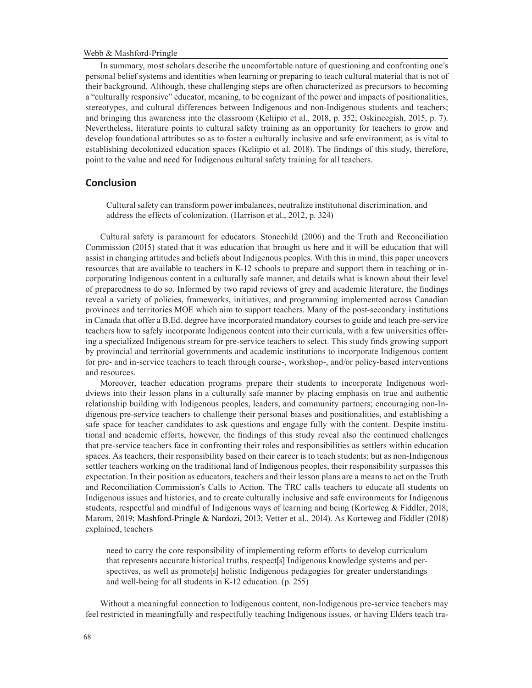In summary, most scholars describe the uncomfortable nature of questioning and confronting one's personal belief systems and identities when learning or preparing to teach cultural material that is not of their background. Although, these challenging steps are often characterized as precursors to becoming a "culturally responsive" educator, meaning, to be cognizant of the power and impacts of positionalities, stereotypes, and cultural differences between Indigenous and non-Indigenous students and teachers; and bringing this awareness into the classroom (Keliipio et al., 2018, p. 352; Oskineegish, 2015, p. 7). Nevertheless, literature points to cultural safety training as an opportunity for teachers to grow and develop foundational attributes so as to foster a culturally inclusive and safe environment; as is vital to establishing decolonized education spaces (Keliipio et al. 2018). The findings of this study, therefore, point to the value and need for Indigenous cultural safety training for all teachers.

# **Conclusion**

Cultural safety can transform power imbalances, neutralize institutional discrimination, and address the effects of colonization. (Harrison et al., 2012, p. 324)

Cultural safety is paramount for educators. Stonechild (2006) and the Truth and Reconciliation Commission (2015) stated that it was education that brought us here and it will be education that will assist in changing attitudes and beliefs about Indigenous peoples. With this in mind, this paper uncovers resources that are available to teachers in K-12 schools to prepare and support them in teaching or incorporating Indigenous content in a culturally safe manner, and details what is known about their level of preparedness to do so. Informed by two rapid reviews of grey and academic literature, the findings reveal a variety of policies, frameworks, initiatives, and programming implemented across Canadian provinces and territories MOE which aim to support teachers. Many of the post-secondary institutions in Canada that offer a B.Ed. degree have incorporated mandatory courses to guide and teach pre-service teachers how to safely incorporate Indigenous content into their curricula, with a few universities offering a specialized Indigenous stream for pre-service teachers to select. This study finds growing support by provincial and territorial governments and academic institutions to incorporate Indigenous content for pre- and in-service teachers to teach through course-, workshop-, and/or policy-based interventions and resources.

Moreover, teacher education programs prepare their students to incorporate Indigenous worldviews into their lesson plans in a culturally safe manner by placing emphasis on true and authentic relationship building with Indigenous peoples, leaders, and community partners; encouraging non-Indigenous pre-service teachers to challenge their personal biases and positionalities, and establishing a safe space for teacher candidates to ask questions and engage fully with the content. Despite institutional and academic efforts, however, the findings of this study reveal also the continued challenges that pre-service teachers face in confronting their roles and responsibilities as settlers within education spaces. As teachers, their responsibility based on their career is to teach students; but as non-Indigenous settler teachers working on the traditional land of Indigenous peoples, their responsibility surpasses this expectation. In their position as educators, teachers and their lesson plans are a means to act on the Truth and Reconciliation Commission's Calls to Action. The TRC calls teachers to educate all students on Indigenous issues and histories, and to create culturally inclusive and safe environments for Indigenous students, respectful and mindful of Indigenous ways of learning and being (Korteweg & Fiddler, 2018; Marom, 2019; Mashford-Pringle & Nardozi, 2013; Vetter et al., 2014). As Korteweg and Fiddler (2018) explained, teachers

need to carry the core responsibility of implementing reform efforts to develop curriculum that represents accurate historical truths, respect[s] Indigenous knowledge systems and perspectives, as well as promote<sup>[5]</sup> holistic Indigenous pedagogies for greater understandings and well-being for all students in K-12 education. (p. 255)

Without a meaningful connection to Indigenous content, non-Indigenous pre-service teachers may feel restricted in meaningfully and respectfully teaching Indigenous issues, or having Elders teach tra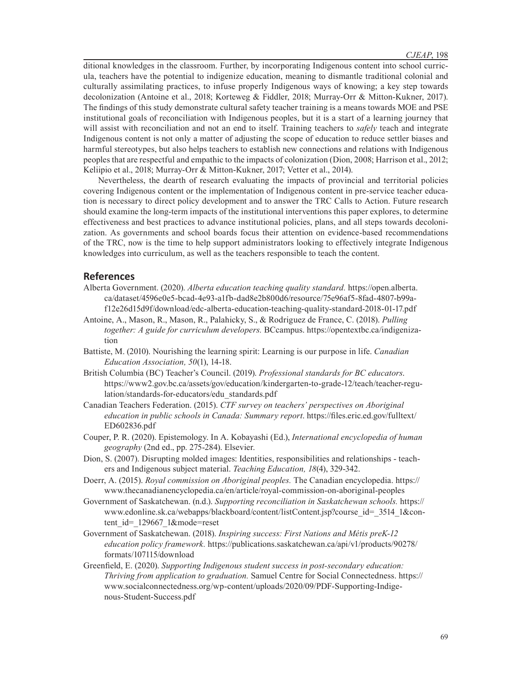ditional knowledges in the classroom. Further, by incorporating Indigenous content into school curricula, teachers have the potential to indigenize education, meaning to dismantle traditional colonial and culturally assimilating practices, to infuse properly Indigenous ways of knowing; a key step towards decolonization (Antoine et al., 2018; Korteweg & Fiddler, 2018; Murray-Orr & Mitton-Kukner, 2017). The findings of this study demonstrate cultural safety teacher training is a means towards MOE and PSE institutional goals of reconciliation with Indigenous peoples, but it is a start of a learning journey that will assist with reconciliation and not an end to itself. Training teachers to *safely* teach and integrate Indigenous content is not only a matter of adjusting the scope of education to reduce settler biases and harmful stereotypes, but also helps teachers to establish new connections and relations with Indigenous peoples that are respectful and empathic to the impacts of colonization (Dion, 2008; Harrison et al., 2012; Keliipio et al., 2018; Murray-Orr & Mitton-Kukner, 2017; Vetter et al., 2014).

Nevertheless, the dearth of research evaluating the impacts of provincial and territorial policies covering Indigenous content or the implementation of Indigenous content in pre-service teacher education is necessary to direct policy development and to answer the TRC Calls to Action. Future research should examine the long-term impacts of the institutional interventions this paper explores, to determine effectiveness and best practices to advance institutional policies, plans, and all steps towards decolonization. As governments and school boards focus their attention on evidence-based recommendations of the TRC, now is the time to help support administrators looking to effectively integrate Indigenous knowledges into curriculum, as well as the teachers responsible to teach the content.

# **References**

- Alberta Government. (2020). *Alberta education teaching quality standard.* https://open.alberta. ca/dataset/4596e0e5-bcad-4e93-a1fb-dad8e2b800d6/resource/75e96af5-8fad-4807-b99af12e26d15d9f/download/edc-alberta-education-teaching-quality-standard-2018-01-17.pdf
- Antoine, A., Mason, R., Mason, R., Palahicky, S., & Rodriguez de France, C. (2018). *Pulling together: A guide for curriculum developers.* BCcampus. https://opentextbc.ca/indigenization
- Battiste, M. (2010). Nourishing the learning spirit: Learning is our purpose in life. *Canadian Education Association, 50*(1), 14-18.
- British Columbia (BC) Teacher's Council. (2019). *Professional standards for BC educators*. https://www2.gov.bc.ca/assets/gov/education/kindergarten-to-grade-12/teach/teacher-regulation/standards-for-educators/edu\_standards.pdf
- Canadian Teachers Federation. (2015). *CTF survey on teachers' perspectives on Aboriginal education in public schools in Canada: Summary report*. https://files.eric.ed.gov/fulltext/ ED602836.pdf
- Couper, P. R. (2020). Epistemology. In A. Kobayashi (Ed.), *International encyclopedia of human geography* (2nd ed., pp. 275-284). Elsevier.
- Dion, S. (2007). Disrupting molded images: Identities, responsibilities and relationships teachers and Indigenous subject material. *Teaching Education, 18*(4), 329-342.
- Doerr, A. (2015). *Royal commission on Aboriginal peoples.* The Canadian encyclopedia. https:// www.thecanadianencyclopedia.ca/en/article/royal-commission-on-aboriginal-peoples
- Government of Saskatchewan. (n.d.). *Supporting reconciliation in Saskatchewan schools.* https:// www.edonline.sk.ca/webapps/blackboard/content/listContent.jsp?course\_id=\_3514\_1&content\_id=\_129667\_1&mode=reset
- Government of Saskatchewan. (2018). *Inspiring success: First Nations and Métis preK-12 education policy framework.* https://publications.saskatchewan.ca/api/v1/products/90278/ formats/107115/download
- Greenfield, E. (2020). *Supporting Indigenous student success in post-secondary education: Thriving from application to graduation.* Samuel Centre for Social Connectedness. https:// www.socialconnectedness.org/wp-content/uploads/2020/09/PDF-Supporting-Indigenous-Student-Success.pdf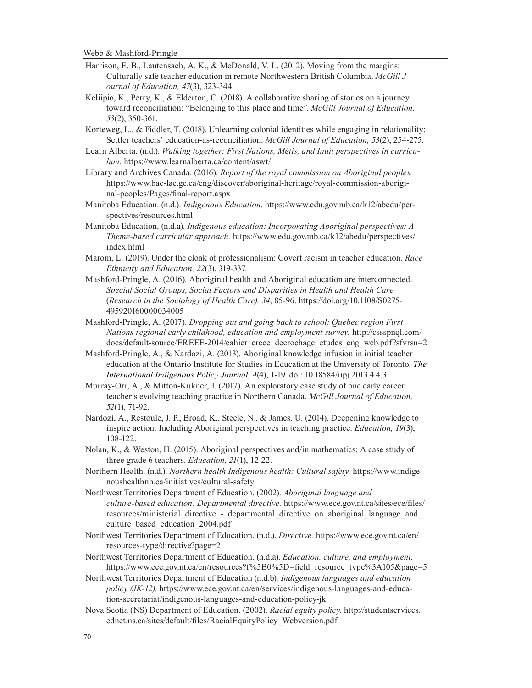- Harrison, E. B., Lautensach, A. K., & McDonald, V. L. (2012). Moving from the margins: Culturally safe teacher education in remote Northwestern British Columbia. *McGill J ournal of Education, 47*(3), 323-344.
- Keliipio, K., Perry, K., & Elderton, C. (2018). A collaborative sharing of stories on a journey toward reconciliation: "Belonging to this place and time". *McGill Journal of Education, 53*(2), 350-361.
- Korteweg, L., & Fiddler, T. (2018). Unlearning colonial identities while engaging in relationality: Settler teachers' education-as-reconciliation. *McGill Journal of Education, 53*(2), 254-275.
- Learn Alberta. (n.d.). *Walking together: First Nations, Métis, and Inuit perspectives in curriculum.* https://www.learnalberta.ca/content/aswt/
- Library and Archives Canada. (2016). *Report of the royal commission on Aboriginal peoples.* https://www.bac-lac.gc.ca/eng/discover/aboriginal-heritage/royal-commission-aboriginal-peoples/Pages/final-report.aspx
- Manitoba Education. (n.d.). *Indigenous Education*. https://www.edu.gov.mb.ca/k12/abedu/perspectives/resources.html
- Manitoba Education. (n.d.a). *Indigenous education: Incorporating Aboriginal perspectives: A Theme-based curricular approach.* https://www.edu.gov.mb.ca/k12/abedu/perspectives/ index.html
- Marom, L. (2019). Under the cloak of professionalism: Covert racism in teacher education. *Race Ethnicity and Education, 22*(3), 319-337.
- Mashford-Pringle, A. (2016). Aboriginal health and Aboriginal education are interconnected. *Special Social Groups, Social Factors and Disparities in Health and Health Care* (*Research in the Sociology of Health Care), 34*, 85-96. https://doi.org/10.1108/S0275- 495920160000034005
- Mashford-Pringle, A. (2017). *Dropping out and going back to school: Quebec region First Nations regional early childhood, education and employment survey.* http://cssspnql.com/ docs/default-source/EREEE-2014/cahier\_ereee\_decrochage\_etudes\_eng\_web.pdf?sfvrsn=2
- Mashford-Pringle, A., & Nardozi, A. (2013). Aboriginal knowledge infusion in initial teacher education at the Ontario Institute for Studies in Education at the University of Toronto. *The International Indigenous Policy Journal, 4*(4), 1-19. doi: 10.18584/iipj.2013.4.4.3
- Murray-Orr, A., & Mitton-Kukner, J. (2017). An exploratory case study of one early career teacher's evolving teaching practice in Northern Canada. *McGill Journal of Education, 52*(1), 71-92.
- Nardozi, A., Restoule, J. P., Broad, K., Steele, N., & James, U. (2014). Deepening knowledge to inspire action: Including Aboriginal perspectives in teaching practice. *Education, 19*(3), 108-122.
- Nolan, K., & Weston, H. (2015). Aboriginal perspectives and/in mathematics: A case study of three grade 6 teachers. *Education, 21*(1), 12-22.
- Northern Health. (n.d.). *Northern health Indigenous health: Cultural safety.* https://www.indigenoushealthnh.ca/initiatives/cultural-safety
- Northwest Territories Department of Education. (2002). *Aboriginal language and culture-based education: Departmental directive.* https://www.ece.gov.nt.ca/sites/ece/files/ resources/ministerial\_directive\_-\_departmental\_directive\_on\_aboriginal\_language\_and\_ culture\_based\_education\_2004.pdf
- Northwest Territories Department of Education. (n.d.). *Directive.* https://www.ece.gov.nt.ca/en/ resources-type/directive?page=2
- Northwest Territories Department of Education. (n.d.a). *Education, culture, and employment.*  https://www.ece.gov.nt.ca/en/resources?f%5B0%5D=field\_resource\_type%3A105&page=5
- Northwest Territories Department of Education (n.d.b)*. Indigenous languages and education policy (JK-12).* https://www.ece.gov.nt.ca/en/services/indigenous-languages-and-education-secretariat/indigenous-languages-and-education-policy-jk
- Nova Scotia (NS) Department of Education. (2002). *Racial equity policy*. http://studentservices. ednet.ns.ca/sites/default/files/RacialEquityPolicy\_Webversion.pdf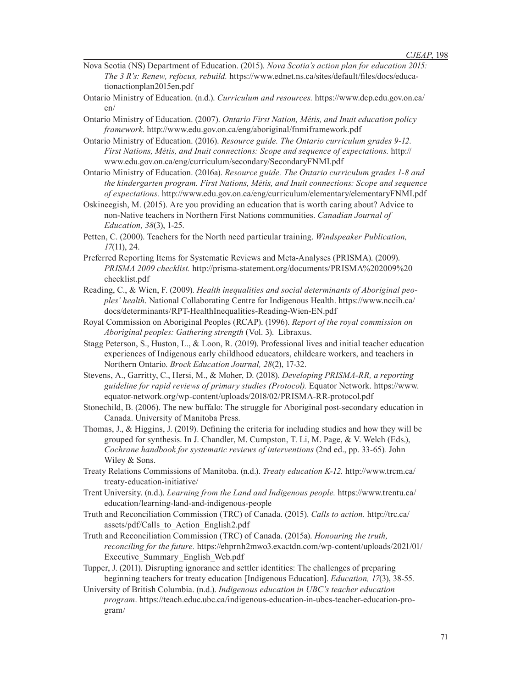- Nova Scotia (NS) Department of Education. (2015). *Nova Scotia's action plan for education 2015: The 3 R's: Renew, refocus, rebuild.* https://www.ednet.ns.ca/sites/default/files/docs/educationactionplan2015en.pdf
- Ontario Ministry of Education. (n.d.). *Curriculum and resources.* https://www.dcp.edu.gov.on.ca/ en/
- Ontario Ministry of Education. (2007). *Ontario First Nation, Métis, and Inuit education policy framework*. http://www.edu.gov.on.ca/eng/aboriginal/fnmiframework.pdf
- Ontario Ministry of Education. (2016). *Resource guide. The Ontario curriculum grades 9-12. First Nations, Métis, and Inuit connections: Scope and sequence of expectations.* http:// www.edu.gov.on.ca/eng/curriculum/secondary/SecondaryFNMI.pdf
- Ontario Ministry of Education. (2016a). *Resource guide. The Ontario curriculum grades 1-8 and the kindergarten program. First Nations, Métis, and Inuit connections: Scope and sequence of expectations.* http://www.edu.gov.on.ca/eng/curriculum/elementary/elementaryFNMI.pdf
- Oskineegish, M. (2015). Are you providing an education that is worth caring about? Advice to non-Native teachers in Northern First Nations communities. *Canadian Journal of Education, 38*(3), 1-25.
- Petten, C. (2000). Teachers for the North need particular training. *Windspeaker Publication, 17*(11), 24.
- Preferred Reporting Items for Systematic Reviews and Meta-Analyses (PRISMA). (2009). *PRISMA 2009 checklist.* http://prisma-statement.org/documents/PRISMA%202009%20 checklist.pdf
- Reading, C., & Wien, F. (2009). *Health inequalities and social determinants of Aboriginal peoples' health*. National Collaborating Centre for Indigenous Health. https://www.nccih.ca/ docs/determinants/RPT-HealthInequalities-Reading-Wien-EN.pdf
- Royal Commission on Aboriginal Peoples (RCAP). (1996). *Report of the royal commission on Aboriginal peoples: Gathering strength* (Vol. 3). Libraxus.
- Stagg Peterson, S., Huston, L., & Loon, R. (2019). Professional lives and initial teacher education experiences of Indigenous early childhood educators, childcare workers, and teachers in Northern Ontario. *Brock Education Journal, 28*(2), 17-32.
- Stevens, A., Garritty, C., Hersi, M., & Moher, D. (2018). *Developing PRISMA-RR, a reporting guideline for rapid reviews of primary studies (Protocol).* Equator Network. https://www. equator-network.org/wp-content/uploads/2018/02/PRISMA-RR-protocol.pdf
- Stonechild, B. (2006). The new buffalo: The struggle for Aboriginal post-secondary education in Canada. University of Manitoba Press.
- Thomas, J., & Higgins, J. (2019). Defining the criteria for including studies and how they will be grouped for synthesis. In J. Chandler, M. Cumpston, T. Li, M. Page, & V. Welch (Eds.), *Cochrane handbook for systematic reviews of interventions* (2nd ed., pp. 33-65)*.* John Wiley & Sons.
- Treaty Relations Commissions of Manitoba. (n.d.). *Treaty education K-12.* http://www.trcm.ca/ treaty-education-initiative/
- Trent University. (n.d.). *Learning from the Land and Indigenous people.* https://www.trentu.ca/ education/learning-land-and-indigenous-people
- Truth and Reconciliation Commission (TRC) of Canada. (2015). *Calls to action.* http://trc.ca/ assets/pdf/Calls\_to\_Action\_English2.pdf
- Truth and Reconciliation Commission (TRC) of Canada. (2015a). *Honouring the truth, reconciling for the future.* https://ehprnh2mwo3.exactdn.com/wp-content/uploads/2021/01/ Executive\_Summary\_English\_Web.pdf
- Tupper, J. (2011). Disrupting ignorance and settler identities: The challenges of preparing beginning teachers for treaty education [Indigenous Education]. *Education, 17*(3), 38-55.
- University of British Columbia. (n.d.). *Indigenous education in UBC's teacher education program*. https://teach.educ.ubc.ca/indigenous-education-in-ubcs-teacher-education-program/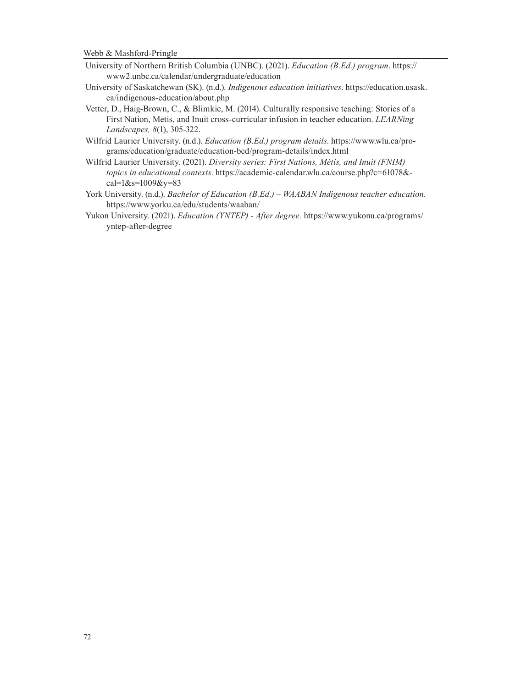- University of Northern British Columbia (UNBC). (2021). *Education (B.Ed.) program*. https:// www2.unbc.ca/calendar/undergraduate/education
- University of Saskatchewan (SK). (n.d.). *Indigenous education initiatives*. https://education.usask. ca/indigenous-education/about.php
- Vetter, D., Haig-Brown, C., & Blimkie, M. (2014). Culturally responsive teaching: Stories of a First Nation, Metis, and Inuit cross-curricular infusion in teacher education. *LEARNing Landscapes, 8*(1), 305-322.
- Wilfrid Laurier University. (n.d.). *Education (B.Ed.) program details*. https://www.wlu.ca/programs/education/graduate/education-bed/program-details/index.html
- Wilfrid Laurier University. (2021). *Diversity series: First Nations, Métis, and Inuit (FNIM) topics in educational contexts*. https://academic-calendar.wlu.ca/course.php?c=61078& cal=1&s=1009&y=83
- York University. (n.d.). *Bachelor of Education (B.Ed.) WAABAN Indigenous teacher education.* https://www.yorku.ca/edu/students/waaban/
- Yukon University. (2021). *Education (YNTEP) After degree.* https://www.yukonu.ca/programs/ yntep-after-degree